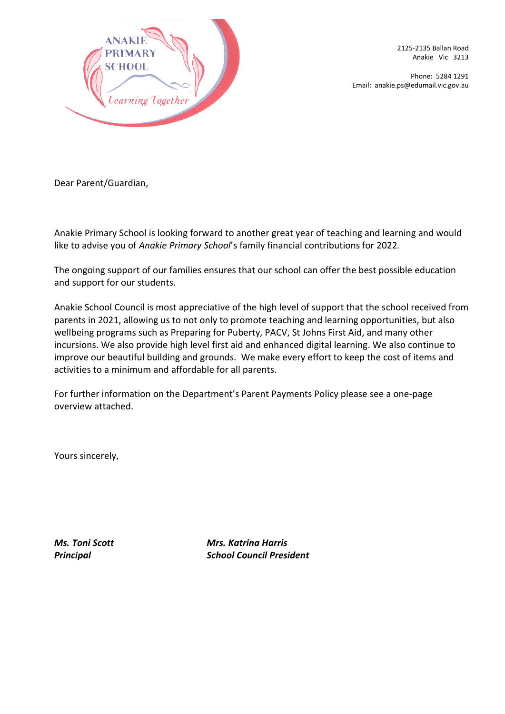

2125-2135 Ballan Road Anakie Vic 3213

Phone: 5284 1291 Email: anakie.ps@edumail.vic.gov.au

Dear Parent/Guardian,

Anakie Primary School is looking forward to another great year of teaching and learning and would like to advise you of *Anakie Primary School*'s family financial contributions for 2022*.*

The ongoing support of our families ensures that our school can offer the best possible education and support for our students.

Anakie School Council is most appreciative of the high level of support that the school received from parents in 2021, allowing us to not only to promote teaching and learning opportunities, but also wellbeing programs such as Preparing for Puberty, PACV, St Johns First Aid, and many other incursions. We also provide high level first aid and enhanced digital learning. We also continue to improve our beautiful building and grounds. We make every effort to keep the cost of items and activities to a minimum and affordable for all parents.

For further information on the Department's Parent Payments Policy please see a one-page overview attached.

Yours sincerely,

*Ms. Toni Scott Mrs. Katrina Harris Principal School Council President*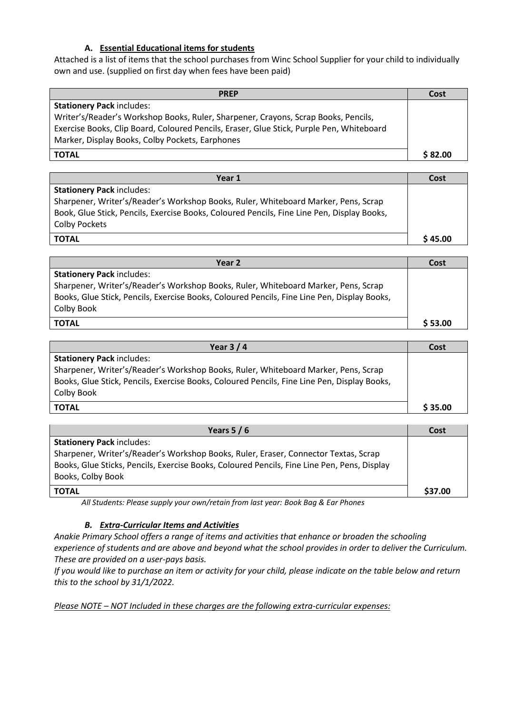#### **A. Essential Educational items for students**

Attached is a list of items that the school purchases from Winc School Supplier for your child to individually own and use. (supplied on first day when fees have been paid)

| <b>PREP</b>                                                                              | Cost    |
|------------------------------------------------------------------------------------------|---------|
| <b>Stationery Pack includes:</b>                                                         |         |
| Writer's/Reader's Workshop Books, Ruler, Sharpener, Crayons, Scrap Books, Pencils,       |         |
| Exercise Books, Clip Board, Coloured Pencils, Eraser, Glue Stick, Purple Pen, Whiteboard |         |
| Marker, Display Books, Colby Pockets, Earphones                                          |         |
| <b>TOTAL</b>                                                                             | \$82.00 |

| Year 1                                                                                     | Cost    |
|--------------------------------------------------------------------------------------------|---------|
| <b>Stationery Pack includes:</b>                                                           |         |
| Sharpener, Writer's/Reader's Workshop Books, Ruler, Whiteboard Marker, Pens, Scrap         |         |
| Book, Glue Stick, Pencils, Exercise Books, Coloured Pencils, Fine Line Pen, Display Books, |         |
| Colby Pockets                                                                              |         |
| <b>TOTAL</b>                                                                               | \$45.00 |

| Year 2                                                                                      | Cost    |
|---------------------------------------------------------------------------------------------|---------|
| <b>Stationery Pack includes:</b>                                                            |         |
| Sharpener, Writer's/Reader's Workshop Books, Ruler, Whiteboard Marker, Pens, Scrap          |         |
| Books, Glue Stick, Pencils, Exercise Books, Coloured Pencils, Fine Line Pen, Display Books, |         |
| Colby Book                                                                                  |         |
| <b>TOTAL</b>                                                                                | \$53.00 |

| Year $3/4$                                                                                                                                                                                      | Cost    |
|-------------------------------------------------------------------------------------------------------------------------------------------------------------------------------------------------|---------|
| <b>Stationery Pack includes:</b>                                                                                                                                                                |         |
| Sharpener, Writer's/Reader's Workshop Books, Ruler, Whiteboard Marker, Pens, Scrap<br>Books, Glue Stick, Pencils, Exercise Books, Coloured Pencils, Fine Line Pen, Display Books,<br>Colby Book |         |
| <b>TOTAL</b>                                                                                                                                                                                    | \$35.00 |

| Years $5/6$                                                                                 | Cost    |
|---------------------------------------------------------------------------------------------|---------|
| <b>Stationery Pack includes:</b>                                                            |         |
| Sharpener, Writer's/Reader's Workshop Books, Ruler, Eraser, Connector Textas, Scrap         |         |
| Books, Glue Sticks, Pencils, Exercise Books, Coloured Pencils, Fine Line Pen, Pens, Display |         |
| Books, Colby Book                                                                           |         |
| <b>TOTAL</b>                                                                                | \$37.00 |

*All Students: Please supply your own/retain from last year: Book Bag & Ear Phones*

#### *B. Extra-Curricular Items and Activities*

*Anakie Primary School offers a range of items and activities that enhance or broaden the schooling experience of students and are above and beyond what the school provides in order to deliver the Curriculum. These are provided on a user-pays basis.*

*If you would like to purchase an item or activity for your child, please indicate on the table below and return this to the school by 31/1/2022.*

*Please NOTE – NOT Included in these charges are the following extra-curricular expenses:*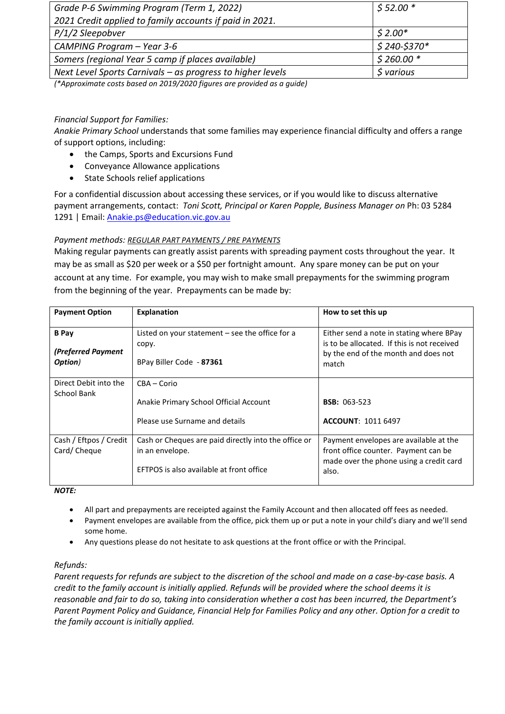| Grade P-6 Swimming Program (Term 1, 2022)                  | $$52.00*$             |
|------------------------------------------------------------|-----------------------|
| 2021 Credit applied to family accounts if paid in 2021.    |                       |
| P/1/2 Sleepobver                                           | $$2.00*$              |
| CAMPING Program - Year 3-6                                 | $$240-$370*$          |
| Somers (regional Year 5 camp if places available)          | $$260.00*$            |
| Next Level Sports Carnivals - as progress to higher levels | \$ <sub>various</sub> |

*(\*Approximate costs based on 2019/2020 figures are provided as a guide)*

### *Financial Support for Families:*

*Anakie Primary School* understands that some families may experience financial difficulty and offers a range of support options, including:

- the Camps, Sports and Excursions Fund
- Conveyance Allowance applications
- State Schools relief applications

For a confidential discussion about accessing these services, or if you would like to discuss alternative payment arrangements, contact: *Toni Scott, Principal or Karen Popple, Business Manager on* Ph: 03 5284 1291 | Email: [Anakie.ps@education.vic.gov.au](mailto:Anakie.ps@education.vic.gov.au)

#### *Payment methods: REGULAR PART PAYMENTS / PRE PAYMENTS*

Making regular payments can greatly assist parents with spreading payment costs throughout the year. It may be as small as \$20 per week or a \$50 per fortnight amount. Any spare money can be put on your account at any time. For example, you may wish to make small prepayments for the swimming program from the beginning of the year. Prepayments can be made by:

| <b>Payment Option</b>                         | <b>Explanation</b>                                                                                                  | How to set this up                                                                                                                       |
|-----------------------------------------------|---------------------------------------------------------------------------------------------------------------------|------------------------------------------------------------------------------------------------------------------------------------------|
| <b>B</b> Pay<br>(Preferred Payment<br>Option) | Listed on your statement $-$ see the office for a<br>copy.<br>BPay Biller Code - 87361                              | Either send a note in stating where BPay<br>is to be allocated. If this is not received<br>by the end of the month and does not<br>match |
| Direct Debit into the                         | CBA - Corio                                                                                                         |                                                                                                                                          |
| School Bank                                   | Anakie Primary School Official Account                                                                              | <b>BSB: 063-523</b>                                                                                                                      |
|                                               | Please use Surname and details                                                                                      | <b>ACCOUNT: 1011 6497</b>                                                                                                                |
| Cash / Eftpos / Credit<br>Card/Cheque         | Cash or Cheques are paid directly into the office or<br>in an envelope.<br>EFTPOS is also available at front office | Payment envelopes are available at the<br>front office counter. Payment can be<br>made over the phone using a credit card<br>also.       |

*NOTE:*

- All part and prepayments are receipted against the Family Account and then allocated off fees as needed.
- Payment envelopes are available from the office, pick them up or put a note in your child's diary and we'll send some home.
- Any questions please do not hesitate to ask questions at the front office or with the Principal.

#### *Refunds:*

*Parent requests for refunds are subject to the discretion of the school and made on a case-by-case basis. A credit to the family account is initially applied. Refunds will be provided where the school deems it is reasonable and fair to do so, taking into consideration whether a cost has been incurred, the Department's Parent Payment Policy and Guidance, Financial Help for Families Policy and any other. Option for a credit to the family account is initially applied.*